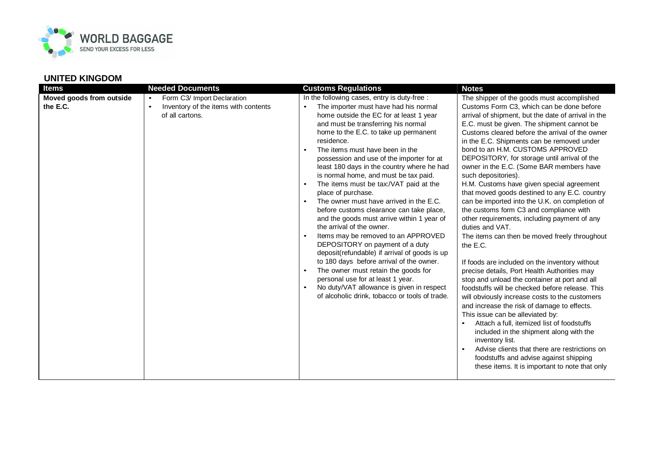

| <b>Items</b>                         | <b>Needed Documents</b>                                                                                          | <b>Customs Regulations</b>                                                                                                                                                                                                                                                                                                                                                                                                                                                                                                                                                                                                                                                                                                                                                                                                                                                                                                                                                                                                       | <b>Notes</b>                                                                                                                                                                                                                                                                                                                                                                                                                                                                                                                                                                                                                                                                                                                                                                                                                                                                                                                                                                                                                                                                                                                                                                                                                                                                                                                                                                        |
|--------------------------------------|------------------------------------------------------------------------------------------------------------------|----------------------------------------------------------------------------------------------------------------------------------------------------------------------------------------------------------------------------------------------------------------------------------------------------------------------------------------------------------------------------------------------------------------------------------------------------------------------------------------------------------------------------------------------------------------------------------------------------------------------------------------------------------------------------------------------------------------------------------------------------------------------------------------------------------------------------------------------------------------------------------------------------------------------------------------------------------------------------------------------------------------------------------|-------------------------------------------------------------------------------------------------------------------------------------------------------------------------------------------------------------------------------------------------------------------------------------------------------------------------------------------------------------------------------------------------------------------------------------------------------------------------------------------------------------------------------------------------------------------------------------------------------------------------------------------------------------------------------------------------------------------------------------------------------------------------------------------------------------------------------------------------------------------------------------------------------------------------------------------------------------------------------------------------------------------------------------------------------------------------------------------------------------------------------------------------------------------------------------------------------------------------------------------------------------------------------------------------------------------------------------------------------------------------------------|
| Moved goods from outside<br>the E.C. | Form C3/ Import Declaration<br>$\bullet$<br>Inventory of the items with contents<br>$\bullet$<br>of all cartons. | In the following cases, entry is duty-free :<br>The importer must have had his normal<br>home outside the EC for at least 1 year<br>and must be transferring his normal<br>home to the E.C. to take up permanent<br>residence.<br>The items must have been in the<br>possession and use of the importer for at<br>least 180 days in the country where he had<br>is normal home, and must be tax paid.<br>The items must be tax:/VAT paid at the<br>$\bullet$<br>place of purchase.<br>The owner must have arrived in the E.C.<br>$\bullet$<br>before customs clearance can take place,<br>and the goods must arrive within 1 year of<br>the arrival of the owner.<br>Items may be removed to an APPROVED<br>DEPOSITORY on payment of a duty<br>deposit(refundable) if arrival of goods is up<br>to 180 days before arrival of the owner.<br>The owner must retain the goods for<br>$\bullet$<br>personal use for at least 1 year.<br>No duty/VAT allowance is given in respect<br>of alcoholic drink, tobacco or tools of trade. | The shipper of the goods must accomplished<br>Customs Form C3, which can be done before<br>arrival of shipment, but the date of arrival in the<br>E.C. must be given. The shipment cannot be<br>Customs cleared before the arrival of the owner<br>in the E.C. Shipments can be removed under<br>bond to an H.M. CUSTOMS APPROVED<br>DEPOSITORY, for storage until arrival of the<br>owner in the E.C. (Some BAR members have<br>such depositories).<br>H.M. Customs have given special agreement<br>that moved goods destined to any E.C. country<br>can be imported into the U.K. on completion of<br>the customs form C3 and compliance with<br>other requirements, including payment of any<br>duties and VAT.<br>The items can then be moved freely throughout<br>the E.C.<br>If foods are included on the inventory without<br>precise details, Port Health Authorities may<br>stop and unload the container at port and all<br>foodstuffs will be checked before release. This<br>will obviously increase costs to the customers<br>and increase the risk of damage to effects.<br>This issue can be alleviated by:<br>Attach a full, itemized list of foodstuffs<br>included in the shipment along with the<br>inventory list.<br>Advise clients that there are restrictions on<br>foodstuffs and advise against shipping<br>these items. It is important to note that only |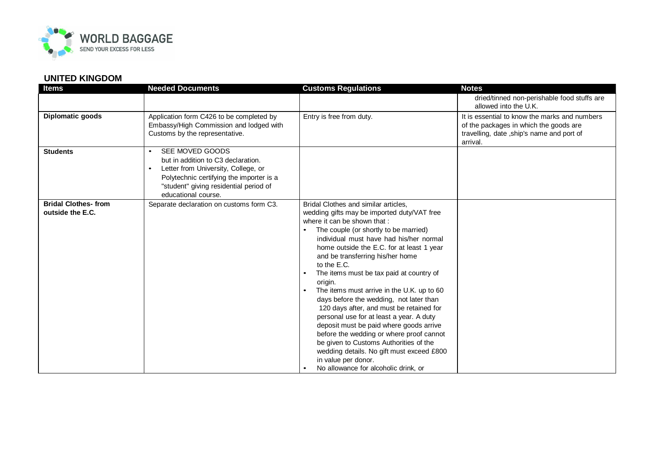

| <b>Items</b>                                   | <b>Needed Documents</b>                                                                                                                                                                                                             | <b>Customs Regulations</b>                                                                                                                                                                                                                                                                                                                                                                                                                                                                                                                                                                                                                                                                                                                                                                               | <b>Notes</b>                                                                                                                                     |
|------------------------------------------------|-------------------------------------------------------------------------------------------------------------------------------------------------------------------------------------------------------------------------------------|----------------------------------------------------------------------------------------------------------------------------------------------------------------------------------------------------------------------------------------------------------------------------------------------------------------------------------------------------------------------------------------------------------------------------------------------------------------------------------------------------------------------------------------------------------------------------------------------------------------------------------------------------------------------------------------------------------------------------------------------------------------------------------------------------------|--------------------------------------------------------------------------------------------------------------------------------------------------|
|                                                |                                                                                                                                                                                                                                     |                                                                                                                                                                                                                                                                                                                                                                                                                                                                                                                                                                                                                                                                                                                                                                                                          | dried/tinned non-perishable food stuffs are<br>allowed into the U.K.                                                                             |
| Diplomatic goods                               | Application form C426 to be completed by<br>Embassy/High Commission and lodged with<br>Customs by the representative.                                                                                                               | Entry is free from duty.                                                                                                                                                                                                                                                                                                                                                                                                                                                                                                                                                                                                                                                                                                                                                                                 | It is essential to know the marks and numbers<br>of the packages in which the goods are<br>travelling, date ,ship's name and port of<br>arrival. |
| <b>Students</b>                                | SEE MOVED GOODS<br>$\bullet$<br>but in addition to C3 declaration.<br>Letter from University, College, or<br>$\bullet$<br>Polytechnic certifying the importer is a<br>"student" giving residential period of<br>educational course. |                                                                                                                                                                                                                                                                                                                                                                                                                                                                                                                                                                                                                                                                                                                                                                                                          |                                                                                                                                                  |
| <b>Bridal Clothes-from</b><br>outside the E.C. | Separate declaration on customs form C3.                                                                                                                                                                                            | Bridal Clothes and similar articles,<br>wedding gifts may be imported duty/VAT free<br>where it can be shown that:<br>The couple (or shortly to be married)<br>individual must have had his/her normal<br>home outside the E.C. for at least 1 year<br>and be transferring his/her home<br>to the E.C.<br>The items must be tax paid at country of<br>origin.<br>The items must arrive in the U.K. up to 60<br>$\bullet$<br>days before the wedding, not later than<br>120 days after, and must be retained for<br>personal use for at least a year. A duty<br>deposit must be paid where goods arrive<br>before the wedding or where proof cannot<br>be given to Customs Authorities of the<br>wedding details. No gift must exceed £800<br>in value per donor.<br>No allowance for alcoholic drink, or |                                                                                                                                                  |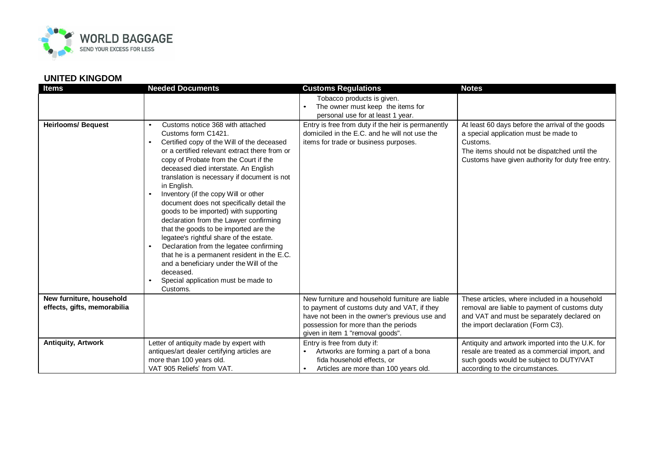

| <b>Items</b>                | <b>Needed Documents</b>                             | <b>Customs Regulations</b>                         | <b>Notes</b>                                      |
|-----------------------------|-----------------------------------------------------|----------------------------------------------------|---------------------------------------------------|
|                             |                                                     | Tobacco products is given.                         |                                                   |
|                             |                                                     | The owner must keep the items for                  |                                                   |
|                             |                                                     | personal use for at least 1 year.                  |                                                   |
| <b>Heirlooms/ Bequest</b>   | Customs notice 368 with attached                    | Entry is free from duty if the heir is permanently | At least 60 days before the arrival of the goods  |
|                             | Customs form C1421.                                 | domiciled in the E.C. and he will not use the      | a special application must be made to             |
|                             | Certified copy of the Will of the deceased          | items for trade or business purposes.              | Customs.                                          |
|                             | or a certified relevant extract there from or       |                                                    | The items should not be dispatched until the      |
|                             | copy of Probate from the Court if the               |                                                    | Customs have given authority for duty free entry. |
|                             | deceased died interstate. An English                |                                                    |                                                   |
|                             | translation is necessary if document is not         |                                                    |                                                   |
|                             | in English.<br>Inventory (if the copy Will or other |                                                    |                                                   |
|                             | document does not specifically detail the           |                                                    |                                                   |
|                             | goods to be imported) with supporting               |                                                    |                                                   |
|                             | declaration from the Lawyer confirming              |                                                    |                                                   |
|                             | that the goods to be imported are the               |                                                    |                                                   |
|                             | legatee's rightful share of the estate.             |                                                    |                                                   |
|                             | Declaration from the legatee confirming             |                                                    |                                                   |
|                             | that he is a permanent resident in the E.C.         |                                                    |                                                   |
|                             | and a beneficiary under the Will of the             |                                                    |                                                   |
|                             | deceased.                                           |                                                    |                                                   |
|                             | Special application must be made to                 |                                                    |                                                   |
|                             | Customs.                                            |                                                    |                                                   |
| New furniture, household    |                                                     | New furniture and household furniture are liable   | These articles, where included in a household     |
| effects, gifts, memorabilia |                                                     | to payment of customs duty and VAT, if they        | removal are liable to payment of customs duty     |
|                             |                                                     | have not been in the owner's previous use and      | and VAT and must be separately declared on        |
|                             |                                                     | possession for more than the periods               | the import declaration (Form C3).                 |
|                             |                                                     | given in item 1 "removal goods".                   |                                                   |
| <b>Antiquity, Artwork</b>   | Letter of antiquity made by expert with             | Entry is free from duty if:                        | Antiquity and artwork imported into the U.K. for  |
|                             | antiques/art dealer certifying articles are         | Artworks are forming a part of a bona              | resale are treated as a commercial import, and    |
|                             | more than 100 years old.                            | fida household effects, or                         | such goods would be subject to DUTY/VAT           |
|                             | VAT 905 Reliefs' from VAT.                          | Articles are more than 100 years old.<br>$\bullet$ | according to the circumstances.                   |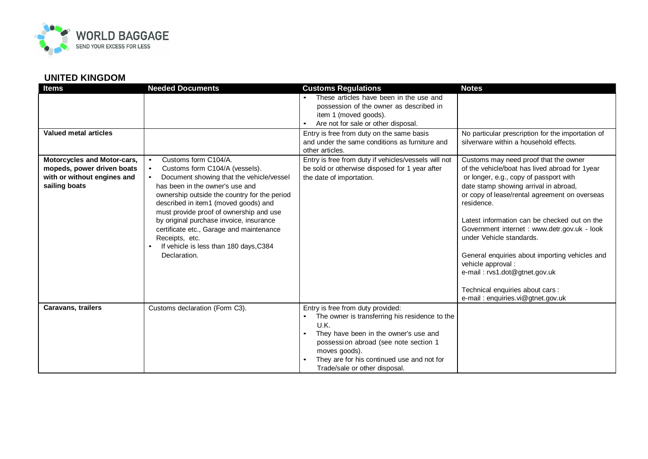

| <b>Items</b>                                                                                              | <b>Needed Documents</b>                                                                                                                                                                                                                                                                                                                                                                                                                                                            | <b>Customs Regulations</b>                                                                                                                                                                                                                                                                              | <b>Notes</b>                                                                                                                                                                                                                                                                                                                                                                                                                                                                                                                                            |
|-----------------------------------------------------------------------------------------------------------|------------------------------------------------------------------------------------------------------------------------------------------------------------------------------------------------------------------------------------------------------------------------------------------------------------------------------------------------------------------------------------------------------------------------------------------------------------------------------------|---------------------------------------------------------------------------------------------------------------------------------------------------------------------------------------------------------------------------------------------------------------------------------------------------------|---------------------------------------------------------------------------------------------------------------------------------------------------------------------------------------------------------------------------------------------------------------------------------------------------------------------------------------------------------------------------------------------------------------------------------------------------------------------------------------------------------------------------------------------------------|
|                                                                                                           |                                                                                                                                                                                                                                                                                                                                                                                                                                                                                    | These articles have been in the use and<br>possession of the owner as described in                                                                                                                                                                                                                      |                                                                                                                                                                                                                                                                                                                                                                                                                                                                                                                                                         |
|                                                                                                           |                                                                                                                                                                                                                                                                                                                                                                                                                                                                                    | item 1 (moved goods).<br>Are not for sale or other disposal.<br>$\bullet$                                                                                                                                                                                                                               |                                                                                                                                                                                                                                                                                                                                                                                                                                                                                                                                                         |
| Valued metal articles                                                                                     |                                                                                                                                                                                                                                                                                                                                                                                                                                                                                    | Entry is free from duty on the same basis<br>and under the same conditions as furniture and<br>other articles.                                                                                                                                                                                          | No particular prescription for the importation of<br>silverware within a household effects.                                                                                                                                                                                                                                                                                                                                                                                                                                                             |
| Motorcycles and Motor-cars,<br>mopeds, power driven boats<br>with or without engines and<br>sailing boats | Customs form C104/A.<br>$\bullet$<br>Customs form C104/A (vessels).<br>$\bullet$<br>Document showing that the vehicle/vessel<br>$\bullet$<br>has been in the owner's use and<br>ownership outside the country for the period<br>described in item1 (moved goods) and<br>must provide proof of ownership and use<br>by original purchase invoice, insurance<br>certificate etc., Garage and maintenance<br>Receipts, etc.<br>If vehicle is less than 180 days, C384<br>Declaration. | Entry is free from duty if vehicles/vessels will not<br>be sold or otherwise disposed for 1 year after<br>the date of importation.                                                                                                                                                                      | Customs may need proof that the owner<br>of the vehicle/boat has lived abroad for 1year<br>or longer, e.g., copy of passport with<br>date stamp showing arrival in abroad,<br>or copy of lease/rental agreement on overseas<br>residence.<br>Latest information can be checked out on the<br>Government internet : www.detr.gov.uk - look<br>under Vehicle standards.<br>General enquiries about importing vehicles and<br>vehicle approval :<br>e-mail: rvs1.dot@gtnet.gov.uk<br>Technical enquiries about cars :<br>e-mail: enquiries.vi@gtnet.gov.uk |
| <b>Caravans, trailers</b>                                                                                 | Customs declaration (Form C3).                                                                                                                                                                                                                                                                                                                                                                                                                                                     | Entry is free from duty provided:<br>The owner is transferring his residence to the<br>U.K.<br>They have been in the owner's use and<br>$\bullet$<br>possession abroad (see note section 1<br>moves goods).<br>They are for his continued use and not for<br>$\bullet$<br>Trade/sale or other disposal. |                                                                                                                                                                                                                                                                                                                                                                                                                                                                                                                                                         |